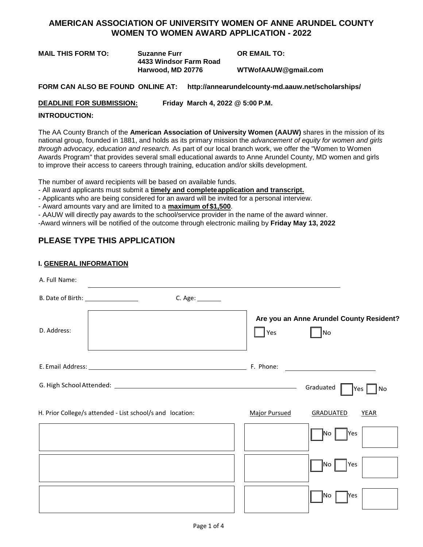# **AMERICAN ASSOCIATION OF UNIVERSITY WOMEN OF ANNE ARUNDEL COUNTY WOMEN TO WOMEN AWARD APPLICATION - 2022**

**MAIL THIS FORM TO: Suzanne Furr OR EMAIL TO: 4433 Windsor Farm Road Harwood, MD 20776 [WTWofAAUW@gmail.com](mailto:WTWofAAUW@gmail.com)**

**FORM CAN ALSO BE FOUND ONLINE AT: <http://annearundelcounty-md.aauw.net/scholarships/>**

**DEADLINE FOR SUBMISSION: Friday March 4, 2022 @ 5:00 P.M.**

## **INTRODUCTION:**

The AA County Branch of the **American Association of University Women (AAUW)** shares in the mission of its national group, founded in 1881, and holds as its primary mission the *advancement of equity for women and girls through advocacy, education and research.* As part of our local branch work, we offer the "Women to Women Awards Program" that provides several small educational awards to Anne Arundel County, MD women and girls to improve their access to careers through training, education and/or skills development.

The number of award recipients will be based on available funds.

- All award applicants must submit a **timely and completeapplication and transcript.** 

- Applicants who are being considered for an award will be invited for a personal interview.

- Award amounts vary and are limited to a **maximum of \$1,500**.

- AAUW will directly pay awards to the school/service provider in the name of the award winner.

-Award winners will be notified of the outcome through electronic mailing by **Friday May 13, 2022**

# **PLEASE TYPE THIS APPLICATION**

# **I. GENERAL INFORMATION**

| A. Full Name:                                             |                                                              |
|-----------------------------------------------------------|--------------------------------------------------------------|
| C. Age: _______                                           |                                                              |
| D. Address:                                               | Are you an Anne Arundel County Resident?<br>$\Box$ Yes<br>No |
|                                                           |                                                              |
|                                                           | Graduated  <br> Yes <br>No                                   |
| H. Prior College/s attended - List school/s and location: | <b>Major Pursued</b><br><b>GRADUATED</b><br><b>YEAR</b>      |
|                                                           | <b>Yes</b><br> No                                            |
|                                                           | Yes<br>INo.                                                  |
|                                                           | Yes<br>INo                                                   |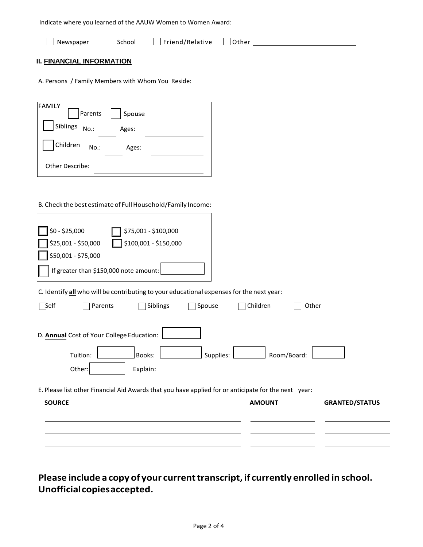|  |  | Indicate where you learned of the AAUW Women to Women Award: |
|--|--|--------------------------------------------------------------|
|--|--|--------------------------------------------------------------|

| $\Box$ Friend/Relative $\Box$ Other<br>School<br>Newspaper |  |
|------------------------------------------------------------|--|
|------------------------------------------------------------|--|

# **II. FINANCIAL INFORMATION**

A. Persons / Family Members with Whom You Reside:

| <b>FAMILY</b><br>Parents | Spouse |  |
|--------------------------|--------|--|
| Siblings<br>$No.$ :      | Ages:  |  |
| Children<br>$No.$ :      | Ages:  |  |
| Other Describe:          |        |  |

# B. Check the best estimate of Full Household/Family Income:

| \$0 - \$25,000<br>\$75,001 - \$100,000<br>\$25,001 - \$50,000<br>\$100,001 - \$150,000<br>\$50,001 - \$75,000<br>If greater than \$150,000 note amount: |  |
|---------------------------------------------------------------------------------------------------------------------------------------------------------|--|
| C. Identify all who will be contributing to your educational expenses for the next year:                                                                |  |
| $\Box$ Self<br>Children<br>Parents<br>Siblings<br>Spouse<br>Other                                                                                       |  |
| D. Annual Cost of Your College Education:<br>Tuition:<br>Supplies:<br>Room/Board:<br>Books:<br>Explain:<br>Other:                                       |  |
| E. Please list other Financial Aid Awards that you have applied for or anticipate for the next year:                                                    |  |
| <b>SOURCE</b><br><b>AMOUNT</b><br><b>GRANTED/STATUS</b>                                                                                                 |  |
|                                                                                                                                                         |  |

**Please include a copy of your currenttranscript, if currently enrolled in school. Unofficialcopiesaccepted.**